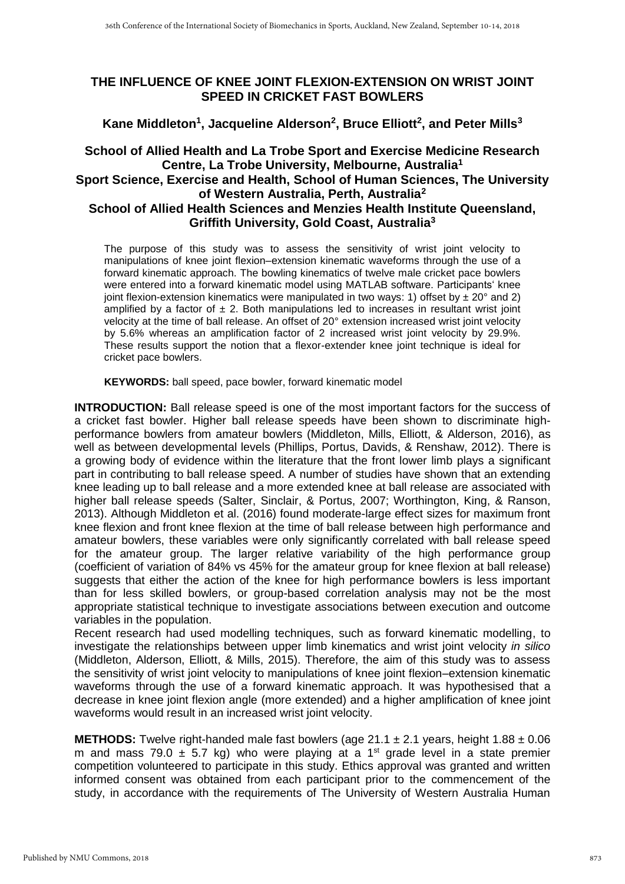## **THE INFLUENCE OF KNEE JOINT FLEXION-EXTENSION ON WRIST JOINT SPEED IN CRICKET FAST BOWLERS**

**Kane Middleton<sup>1</sup> , Jacqueline Alderson<sup>2</sup> , Bruce Elliott<sup>2</sup> , and Peter Mills<sup>3</sup>**

## **School of Allied Health and La Trobe Sport and Exercise Medicine Research Centre, La Trobe University, Melbourne, Australia<sup>1</sup> Sport Science, Exercise and Health, School of Human Sciences, The University**

## **of Western Australia, Perth, Australia<sup>2</sup> School of Allied Health Sciences and Menzies Health Institute Queensland, Griffith University, Gold Coast, Australia<sup>3</sup>**

The purpose of this study was to assess the sensitivity of wrist joint velocity to manipulations of knee joint flexion–extension kinematic waveforms through the use of a forward kinematic approach. The bowling kinematics of twelve male cricket pace bowlers were entered into a forward kinematic model using MATLAB software. Participants' knee joint flexion-extension kinematics were manipulated in two ways: 1) offset by  $\pm$  20 $^{\circ}$  and 2) amplified by a factor of  $\pm$  2. Both manipulations led to increases in resultant wrist joint velocity at the time of ball release. An offset of 20° extension increased wrist joint velocity by 5.6% whereas an amplification factor of 2 increased wrist joint velocity by 29.9%. These results support the notion that a flexor-extender knee joint technique is ideal for cricket pace bowlers.

**KEYWORDS:** ball speed, pace bowler, forward kinematic model

**INTRODUCTION:** Ball release speed is one of the most important factors for the success of a cricket fast bowler. Higher ball release speeds have been shown to discriminate highperformance bowlers from amateur bowlers (Middleton, Mills, Elliott, & Alderson, 2016), as well as between developmental levels (Phillips, Portus, Davids, & Renshaw, 2012). There is a growing body of evidence within the literature that the front lower limb plays a significant part in contributing to ball release speed. A number of studies have shown that an extending knee leading up to ball release and a more extended knee at ball release are associated with higher ball release speeds (Salter, Sinclair, & Portus, 2007; Worthington, King, & Ranson, 2013). Although Middleton et al. (2016) found moderate-large effect sizes for maximum front knee flexion and front knee flexion at the time of ball release between high performance and amateur bowlers, these variables were only significantly correlated with ball release speed for the amateur group. The larger relative variability of the high performance group (coefficient of variation of 84% vs 45% for the amateur group for knee flexion at ball release) suggests that either the action of the knee for high performance bowlers is less important than for less skilled bowlers, or group-based correlation analysis may not be the most appropriate statistical technique to investigate associations between execution and outcome variables in the population.

Recent research had used modelling techniques, such as forward kinematic modelling, to investigate the relationships between upper limb kinematics and wrist joint velocity *in silico* (Middleton, Alderson, Elliott, & Mills, 2015). Therefore, the aim of this study was to assess the sensitivity of wrist joint velocity to manipulations of knee joint flexion–extension kinematic waveforms through the use of a forward kinematic approach. It was hypothesised that a decrease in knee joint flexion angle (more extended) and a higher amplification of knee joint waveforms would result in an increased wrist joint velocity.

**METHODS:** Twelve right-handed male fast bowlers (age  $21.1 \pm 2.1$  years, height  $1.88 \pm 0.06$ m and mass 79.0  $\pm$  5.7 kg) who were playing at a 1<sup>st</sup> grade level in a state premier competition volunteered to participate in this study. Ethics approval was granted and written informed consent was obtained from each participant prior to the commencement of the study, in accordance with the requirements of The University of Western Australia Human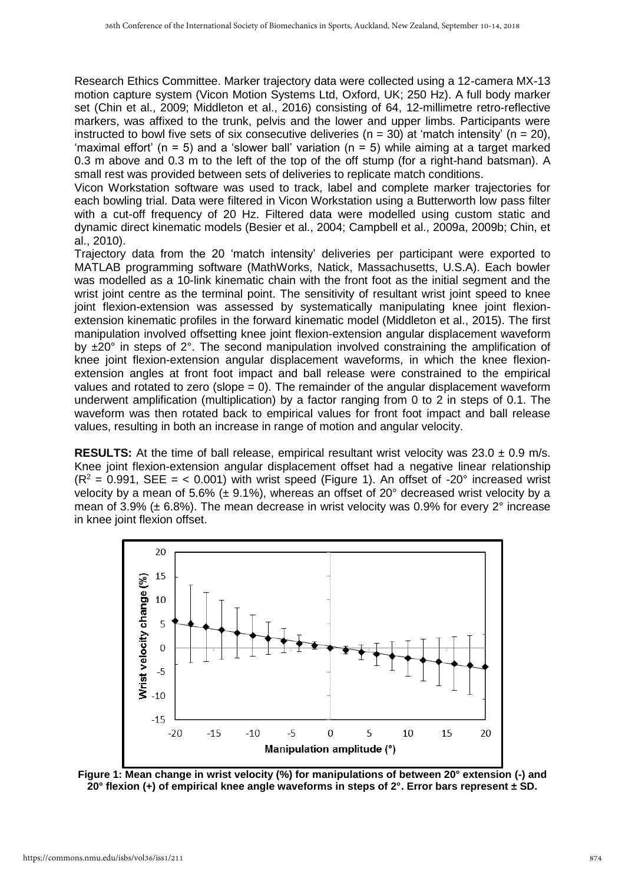Research Ethics Committee. Marker trajectory data were collected using a 12-camera MX-13 motion capture system (Vicon Motion Systems Ltd, Oxford, UK; 250 Hz). A full body marker set (Chin et al., 2009; Middleton et al., 2016) consisting of 64, 12-millimetre retro-reflective markers, was affixed to the trunk, pelvis and the lower and upper limbs. Participants were instructed to bowl five sets of six consecutive deliveries ( $n = 30$ ) at 'match intensity' ( $n = 20$ ), 'maximal effort' ( $n = 5$ ) and a 'slower ball' variation ( $n = 5$ ) while aiming at a target marked 0.3 m above and 0.3 m to the left of the top of the off stump (for a right-hand batsman). A small rest was provided between sets of deliveries to replicate match conditions.

Vicon Workstation software was used to track, label and complete marker trajectories for each bowling trial. Data were filtered in Vicon Workstation using a Butterworth low pass filter with a cut-off frequency of 20 Hz. Filtered data were modelled using custom static and dynamic direct kinematic models (Besier et al., 2004; Campbell et al., 2009a, 2009b; Chin, et al., 2010).

Trajectory data from the 20 'match intensity' deliveries per participant were exported to MATLAB programming software (MathWorks, Natick, Massachusetts, U.S.A). Each bowler was modelled as a 10-link kinematic chain with the front foot as the initial segment and the wrist joint centre as the terminal point. The sensitivity of resultant wrist joint speed to knee joint flexion-extension was assessed by systematically manipulating knee joint flexionextension kinematic profiles in the forward kinematic model (Middleton et al., 2015). The first manipulation involved offsetting knee joint flexion-extension angular displacement waveform by  $\pm 20^\circ$  in steps of 2°. The second manipulation involved constraining the amplification of knee joint flexion-extension angular displacement waveforms, in which the knee flexionextension angles at front foot impact and ball release were constrained to the empirical values and rotated to zero (slope  $= 0$ ). The remainder of the angular displacement waveform underwent amplification (multiplication) by a factor ranging from 0 to 2 in steps of 0.1. The waveform was then rotated back to empirical values for front foot impact and ball release values, resulting in both an increase in range of motion and angular velocity.

**RESULTS:** At the time of ball release, empirical resultant wrist velocity was 23.0 ± 0.9 m/s. Knee joint flexion-extension angular displacement offset had a negative linear relationship  $(R^2 = 0.991$ . SEE = < 0.001) with wrist speed (Figure 1). An offset of -20 $^{\circ}$  increased wrist velocity by a mean of 5.6% ( $\pm$  9.1%), whereas an offset of 20 $^{\circ}$  decreased wrist velocity by a mean of 3.9% (± 6.8%). The mean decrease in wrist velocity was 0.9% for every 2° increase in knee joint flexion offset.



**Figure 1: Mean change in wrist velocity (%) for manipulations of between 20° extension (-) and 20° flexion (+) of empirical knee angle waveforms in steps of 2°. Error bars represent ± SD.**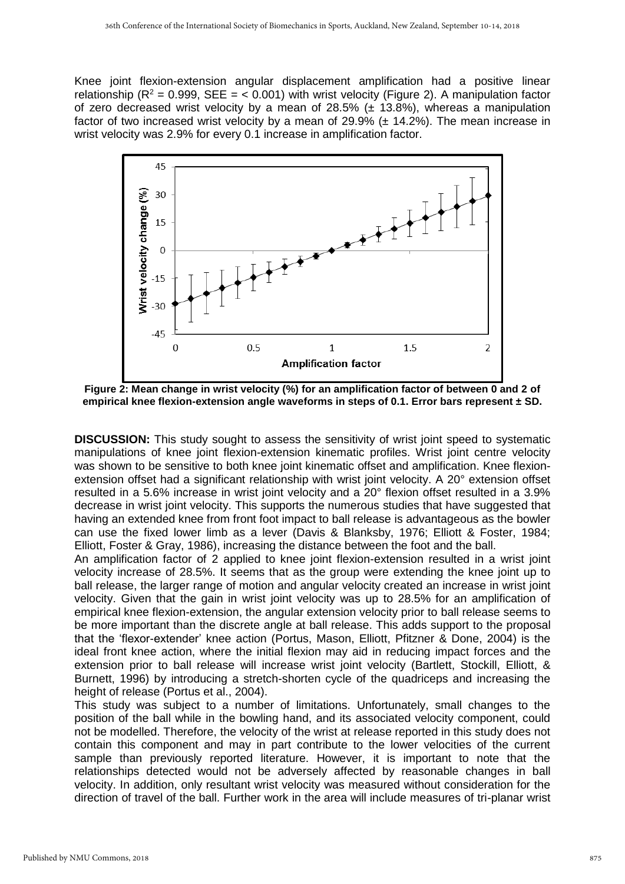Knee joint flexion-extension angular displacement amplification had a positive linear relationship ( $R^2 = 0.999$ , SEE = < 0.001) with wrist velocity (Figure 2). A manipulation factor of zero decreased wrist velocity by a mean of  $28.5\%$  ( $\pm$  13.8%), whereas a manipulation factor of two increased wrist velocity by a mean of 29.9% ( $\pm$  14.2%). The mean increase in wrist velocity was 2.9% for every 0.1 increase in amplification factor.



**Figure 2: Mean change in wrist velocity (%) for an amplification factor of between 0 and 2 of empirical knee flexion-extension angle waveforms in steps of 0.1. Error bars represent ± SD.**

**DISCUSSION:** This study sought to assess the sensitivity of wrist joint speed to systematic manipulations of knee joint flexion-extension kinematic profiles. Wrist joint centre velocity was shown to be sensitive to both knee joint kinematic offset and amplification. Knee flexionextension offset had a significant relationship with wrist joint velocity. A 20° extension offset resulted in a 5.6% increase in wrist joint velocity and a 20° flexion offset resulted in a 3.9% decrease in wrist joint velocity. This supports the numerous studies that have suggested that having an extended knee from front foot impact to ball release is advantageous as the bowler can use the fixed lower limb as a lever (Davis & Blanksby, 1976; Elliott & Foster, 1984; Elliott, Foster & Gray, 1986), increasing the distance between the foot and the ball.

An amplification factor of 2 applied to knee joint flexion-extension resulted in a wrist joint velocity increase of 28.5%. It seems that as the group were extending the knee joint up to ball release, the larger range of motion and angular velocity created an increase in wrist joint velocity. Given that the gain in wrist joint velocity was up to 28.5% for an amplification of empirical knee flexion-extension, the angular extension velocity prior to ball release seems to be more important than the discrete angle at ball release. This adds support to the proposal that the 'flexor-extender' knee action (Portus, Mason, Elliott, Pfitzner & Done, 2004) is the ideal front knee action, where the initial flexion may aid in reducing impact forces and the extension prior to ball release will increase wrist joint velocity (Bartlett, Stockill, Elliott, & Burnett, 1996) by introducing a stretch-shorten cycle of the quadriceps and increasing the height of release (Portus et al., 2004).

This study was subject to a number of limitations. Unfortunately, small changes to the position of the ball while in the bowling hand, and its associated velocity component, could not be modelled. Therefore, the velocity of the wrist at release reported in this study does not contain this component and may in part contribute to the lower velocities of the current sample than previously reported literature. However, it is important to note that the relationships detected would not be adversely affected by reasonable changes in ball velocity. In addition, only resultant wrist velocity was measured without consideration for the direction of travel of the ball. Further work in the area will include measures of tri-planar wrist